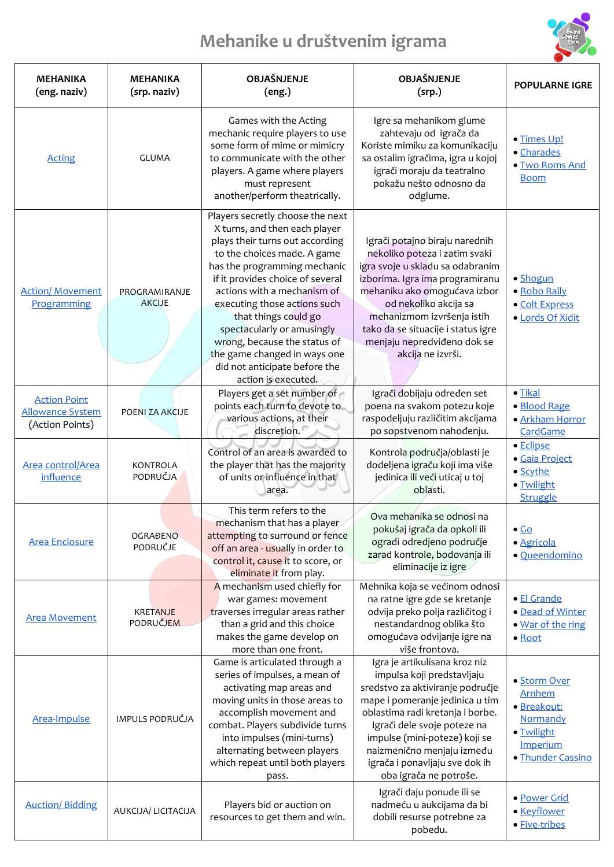## **Mehanike u društvenim igrama**



| <b>MEHANIKA</b><br>(eng. naziv)                                   | <b>MEHANIKA</b><br>(srp. naziv) | OBJAŠNJENJE<br>(eng.)                                                                                                                                                                                                                                                                                                                                                                                                                                | OBJAŠNJENJE<br>(srp.)                                                                                                                                                                                                                                                                                                            | <b>POPULARNE IGRE</b>                                                                                   |
|-------------------------------------------------------------------|---------------------------------|------------------------------------------------------------------------------------------------------------------------------------------------------------------------------------------------------------------------------------------------------------------------------------------------------------------------------------------------------------------------------------------------------------------------------------------------------|----------------------------------------------------------------------------------------------------------------------------------------------------------------------------------------------------------------------------------------------------------------------------------------------------------------------------------|---------------------------------------------------------------------------------------------------------|
| <b>Acting</b>                                                     | <b>GLUMA</b>                    | Games with the Acting<br>mechanic require players to use<br>some form of mime or mimicry<br>to communicate with the other<br>players. A game where players<br>must represent<br>another/perform theatrically.                                                                                                                                                                                                                                        | Igre sa mehanikom glume<br>zahtevaju od igrača da<br>Koriste mimiku za komunikaciju<br>sa ostalim igračima, igra u kojoj<br>igrači moraju da teatralno<br>pokažu nešto odnosno da<br>odglume.                                                                                                                                    | · Times Up!<br>· Charades<br>· Two Roms And<br><b>Boom</b>                                              |
| <b>Action/ Movement</b><br>Programming                            | PROGRAMIRANJE<br><b>AKCIJE</b>  | Players secretly choose the next<br>X turns, and then each player<br>plays their turns out according<br>to the choices made. A game<br>has the programming mechanic<br>if it provides choice of several<br>actions with a mechanism of<br>executing those actions such<br>that things could go<br>spectacularly or amusingly<br>wrong, because the status of<br>the game changed in ways one<br>did not anticipate before the<br>action is executed. | Igrači potajno biraju narednih<br>nekoliko poteza i zatim svaki<br>igra svoje u skladu sa odabranim<br>izborima. Igra ima programiranu<br>mehaniku ako omogućava izbor<br>od nekoliko akcija sa<br>mehanizmom izvršenja istih<br>tako da se situacije i status igre<br>menjaju nepredviđeno dok se<br>akcija ne izvrši.          | • Shogun<br>· Robo Rally<br>· Colt Express<br>· Lords Of Xidit                                          |
| <b>Action Point</b><br><b>Allowance System</b><br>(Action Points) | POENI ZA AKCIJE                 | Players get a set number of<br>points each turn to devote to<br>various actions, at their<br>discretion.                                                                                                                                                                                                                                                                                                                                             | Igrači dobijaju određen set<br>poena na svakom potezu koje<br>raspodeljuju različitim akcijama<br>po sopstvenom nahođenju.                                                                                                                                                                                                       | $\bullet$ Tikal<br>· Blood Rage<br>· Arkham Horror<br>CardGame                                          |
| Area control/Area<br>influence                                    | <b>KONTROLA</b><br>PODRUČJA     | Control of an area is awarded to<br>the player that has the majority<br>of units or influence in that<br>area.                                                                                                                                                                                                                                                                                                                                       | Kontrola područja/oblasti je<br>dodeljena igraču koji ima više<br>jedinica ili veći uticaj u toj<br>oblasti.                                                                                                                                                                                                                     | · Eclipse<br>· Gaia Project<br>• Scythe<br>· Twilight<br>Struggle                                       |
| <b>Area Enclosure</b>                                             | <b>OGRAĐENO</b><br>PODRUČJE     | This term refers to the<br>mechanism that has a player<br>attempting to surround or fence<br>off an area - usually in order to<br>control it, cause it to score, or<br>eliminate it from play.                                                                                                                                                                                                                                                       | Ova mehanika se odnosi na<br>pokušaj igrača da opkoli ili<br>ogradi odredjeno područje<br>zarad kontrole, bodovanja ili<br>eliminacije iz igre                                                                                                                                                                                   | $\bullet$ Go<br>· Agricola<br>· Queendomino                                                             |
| <b>Area Movement</b>                                              | <b>KRETANJE</b><br>PODRUČJEM    | A mechanism used chiefly for<br>war games: movement<br>traverses irregular areas rather<br>than a grid and this choice<br>makes the game develop on<br>more than one front.                                                                                                                                                                                                                                                                          | Mehnika koja se većinom odnosi<br>na ratne igre gde se kretanje<br>odvija preko polja različitog i<br>nestandardnog oblika što<br>omogućava odvijanje igre na<br>više frontova.                                                                                                                                                  | · El Grande<br>· Dead of Winter<br>• War of the ring<br>• Root                                          |
| Area-Impulse                                                      | IMPULS PODRUČJA                 | Game is articulated through a<br>series of impulses, a mean of<br>activating map areas and<br>moving units in those areas to<br>accomplish movement and<br>combat. Players subdivide turns<br>into impulses (mini-turns)<br>alternating between players<br>which repeat until both players<br>pass.                                                                                                                                                  | Igra je artikulisana kroz niz<br>impulsa koji predstavljaju<br>sredstvo za aktiviranje područje<br>mape i pomeranje jedinica u tim<br>oblastima radi kretanja i borbe.<br>Igrači dele svoje poteze na<br>impulse (mini-poteze) koji se<br>naizmenično menjaju između<br>igrača i ponavljaju sve dok ih<br>oba igrača ne potroše. | · Storm Over<br><b>Arnhem</b><br>· Breakout:<br>Normandy<br>· Twilight<br>Imperium<br>· Thunder Cassino |
| <b>Auction/Bidding</b>                                            | AUKCIJA/ LICITACIJA             | Players bid or auction on<br>resources to get them and win.                                                                                                                                                                                                                                                                                                                                                                                          | Igrači daju ponude ili se<br>nadmeću u aukcijama da bi<br>dobili resurse potrebne za<br>pobedu.                                                                                                                                                                                                                                  | · Power Grid<br>· Keyflower<br>· Five-tribes                                                            |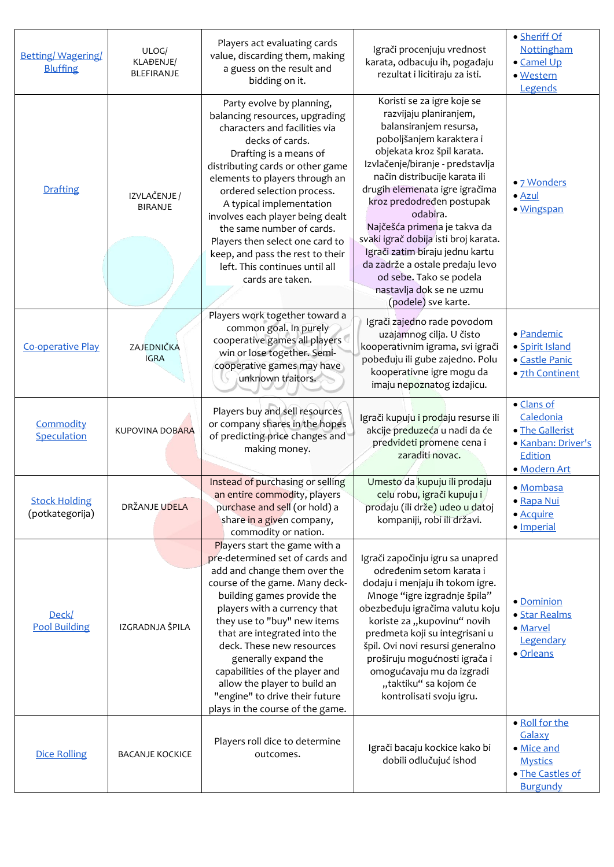| <b>Betting/Wagering/</b><br><b>Bluffing</b> | ULOG/<br>KLAĐENJE/<br>BLEFIRANJE | Players act evaluating cards<br>value, discarding them, making<br>a guess on the result and<br>bidding on it.                                                                                                                                                                                                                                                                                                                                                           | Igrači procenjuju vrednost<br>karata, odbacuju ih, pogađaju<br>rezultat i licitiraju za isti.                                                                                                                                                                                                                                                                                                                                                                                                                        | · Sheriff Of<br>Nottingham<br>· Camel Up<br>· Western<br>Legends                                |
|---------------------------------------------|----------------------------------|-------------------------------------------------------------------------------------------------------------------------------------------------------------------------------------------------------------------------------------------------------------------------------------------------------------------------------------------------------------------------------------------------------------------------------------------------------------------------|----------------------------------------------------------------------------------------------------------------------------------------------------------------------------------------------------------------------------------------------------------------------------------------------------------------------------------------------------------------------------------------------------------------------------------------------------------------------------------------------------------------------|-------------------------------------------------------------------------------------------------|
| Drafting                                    | IZVLAČENJE /<br><b>BIRANJE</b>   | Party evolve by planning,<br>balancing resources, upgrading<br>characters and facilities via<br>decks of cards.<br>Drafting is a means of<br>distributing cards or other game<br>elements to players through an<br>ordered selection process.<br>A typical implementation<br>involves each player being dealt<br>the same number of cards.<br>Players then select one card to<br>keep, and pass the rest to their<br>left. This continues until all<br>cards are taken. | Koristi se za igre koje se<br>razvijaju planiranjem,<br>balansiranjem resursa,<br>poboljšanjem karaktera i<br>objekata kroz špil karata.<br>Izvlačenje/biranje - predstavlja<br>način distribucije karata ili<br>drugih elemenata igre igračima<br>kroz predodređen postupak<br>odabira.<br>Najčešća primena je takva da<br>svaki igrač dobija isti broj karata.<br>Igrači zatim biraju jednu kartu<br>da zadrže a ostale predaju levo<br>od sebe. Tako se podela<br>nastavlja dok se ne uzmu<br>(podele) sve karte. | • 7 Wonders<br>$\bullet$ Azul<br>· Wingspan                                                     |
| <b>Co-operative Play</b>                    | ZAJEDNIČKA<br><b>IGRA</b>        | Players work together toward a<br>common goal. In purely<br>cooperative games all players<br>win or lose together. Semi-<br>cooperative games may have<br>unknown traitors.                                                                                                                                                                                                                                                                                             | Igrači zajedno rade povodom<br>uzajamnog cilja. U čisto<br>kooperativnim igrama, svi igrači<br>pobeđuju ili gube zajedno. Polu<br>kooperativne igre mogu da<br>imaju nepoznatog izdajicu.                                                                                                                                                                                                                                                                                                                            | · Pandemic<br>· Spirit Island<br>• Castle Panic<br>· 7th Continent                              |
| Commodity<br>Speculation                    | <b>KUPOVINA DOBARA</b>           | Players buy and sell resources<br>or company shares in the hopes<br>of predicting price changes and<br>making money.                                                                                                                                                                                                                                                                                                                                                    | Igrači kupuju i prodaju resurse ili<br>akcije preduzeća u nadi da će<br>predvideti promene cena i<br>zaraditi novac.                                                                                                                                                                                                                                                                                                                                                                                                 | • Clans of<br>Caledonia<br>· The Gallerist<br>· Kanban: Driver's<br>Edition<br>· Modern Art     |
| <b>Stock Holding</b><br>(potkategorija)     | DRŽANJE UDELA                    | Instead of purchasing or selling<br>an entire commodity, players<br>purchase and sell (or hold) a<br>share in a given company,<br>commodity or nation.                                                                                                                                                                                                                                                                                                                  | Umesto da kupuju ili prodaju<br>ceļu robu, igrači kupuju i<br>prodaju (ili drže) udeo u datoj<br>kompaniji, robi ili državi.                                                                                                                                                                                                                                                                                                                                                                                         | · Mombasa<br>· Rapa Nui<br>· Acquire<br>· Imperial                                              |
| Deck/<br><b>Pool Building</b>               | IZGRADNJA ŠPILA                  | Players start the game with a<br>pre-determined set of cards and<br>add and change them over the<br>course of the game. Many deck-<br>building games provide the<br>players with a currency that<br>they use to "buy" new items<br>that are integrated into the<br>deck. These new resources<br>generally expand the<br>capabilities of the player and<br>allow the player to build an<br>"engine" to drive their future<br>plays in the course of the game.            | Igrači započinju igru sa unapred<br>određenim setom karata i<br>dodaju i menjaju ih tokom igre.<br>Mnoge "igre izgradnje špila"<br>obezbeđuju igračima valutu koju<br>koriste za "kupovinu" novih<br>predmeta koji su integrisani u<br>špil. Ovi novi resursi generalno<br>proširuju mogućnosti igrača i<br>omogućavaju mu da izgradi<br>"taktiku" sa kojom će<br>kontrolisati svoju igru.                                                                                                                           | • Dominion<br>· Star Realms<br>· Marvel<br>Legendary<br>· Orleans                               |
| <b>Dice Rolling</b>                         | <b>BACANJE KOCKICE</b>           | Players roll dice to determine<br>outcomes.                                                                                                                                                                                                                                                                                                                                                                                                                             | Igrači bacaju kockice kako bi<br>dobili odlučujuć ishod                                                                                                                                                                                                                                                                                                                                                                                                                                                              | · Roll for the<br>Galaxy<br>· Mice and<br><b>Mystics</b><br>· The Castles of<br><b>Burgundy</b> |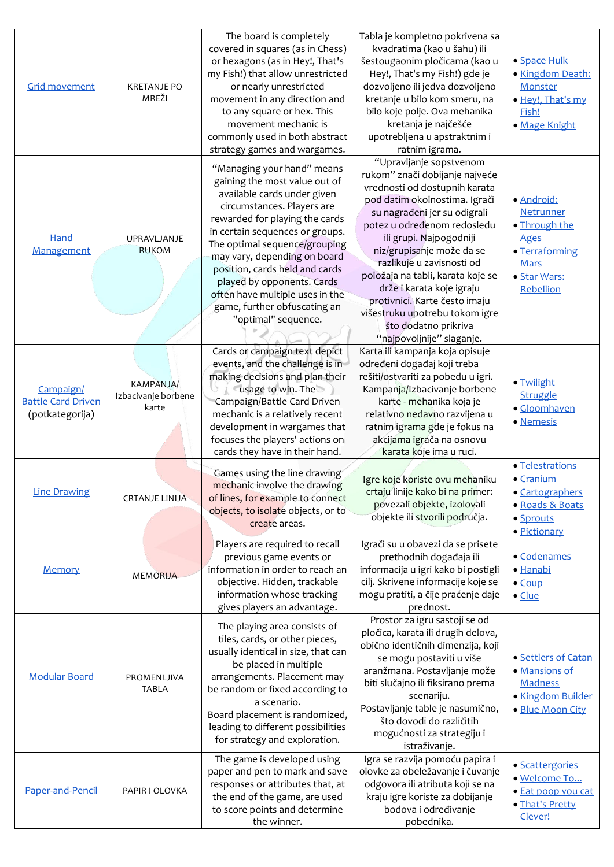| <b>Grid movement</b>                                      | <b>KRETANJE PO</b><br>MREŽI                      | The board is completely<br>covered in squares (as in Chess)<br>or hexagons (as in Hey!, That's<br>my Fish!) that allow unrestricted<br>or nearly unrestricted<br>movement in any direction and<br>to any square or hex. This<br>movement mechanic is<br>commonly used in both abstract                                                                                                                                                                   | Tabla je kompletno pokrivena sa<br>kvadratima (kao u šahu) ili<br>šestougaonim pločicama (kao u<br>Hey!, That's my Fish!) gde je<br>dozvoljeno ili jedva dozvoljeno<br>kretanje u bilo kom smeru, na<br>bilo koje polje. Ova mehanika<br>kretanja je najčešće<br>upotrebljena u apstraktnim i                                                                                                                                                                                               | · Space Hulk<br>· Kingdom Death:<br>Monster<br>· Hey!, That's my<br>Fish!<br>· Mage Knight                            |
|-----------------------------------------------------------|--------------------------------------------------|----------------------------------------------------------------------------------------------------------------------------------------------------------------------------------------------------------------------------------------------------------------------------------------------------------------------------------------------------------------------------------------------------------------------------------------------------------|---------------------------------------------------------------------------------------------------------------------------------------------------------------------------------------------------------------------------------------------------------------------------------------------------------------------------------------------------------------------------------------------------------------------------------------------------------------------------------------------|-----------------------------------------------------------------------------------------------------------------------|
| Hand<br>Management                                        | UPRAVLJANJE<br><b>RUKOM</b>                      | strategy games and wargames.<br>"Managing your hand" means<br>gaining the most value out of<br>available cards under given<br>circumstances. Players are<br>rewarded for playing the cards<br>in certain sequences or groups.<br>The optimal sequence/grouping<br>may vary, depending on board<br>position, cards held and cards<br>played by opponents. Cards<br>often have multiple uses in the<br>game, further obfuscating an<br>"optimal" sequence. | ratnim igrama.<br>"Upravljanje sopstvenom<br>rukom" znači dobijanje najveće<br>vrednosti od dostupnih karata<br>pod datim okolnostima. Igrači<br>su nagrađeni jer su odigrali<br>potez u određenom redosledu<br>ili grupi. Najpogodniji<br>niz/grupisanje može da se<br>razlikuje u zavisnosti od<br>položaja na tabli, karata koje se<br>drže i karata koje igraju<br>protivnici. Karte često imaju<br>višestruku upotrebu tokom igre<br>što dodatno prikriva<br>"najpovoljnije" slaganje. | · Android:<br>Netrunner<br>· Through the<br><b>Ages</b><br>• Terraforming<br><b>Mars</b><br>· Star Wars:<br>Rebellion |
| Campaign/<br><b>Battle Card Driven</b><br>(potkategorija) | <b>KAMPANJA/</b><br>Izbacivanje borbene<br>karte | Cards or campaign text depict<br>events, and the challenge is in<br>making decisions and plan their<br>usage to win. The<br>Campaign/Battle Card Driven<br>mechanic is a relatively recent<br>development in wargames that<br>focuses the players' actions on<br>cards they have in their hand.                                                                                                                                                          | Karta ili kampanja koja opisuje<br>određeni događaj koji treba<br>rešiti/ostvariti za pobedu u igri.<br>Kampanja/Izbacivanje borbene<br>karte - mehanika koja je<br>relativno nedavno razvijena u<br>ratnim igrama gde je fokus na<br>akcijama igrača na osnovu<br>karata koje ima u ruci.                                                                                                                                                                                                  | · Twilight<br><b>Struggle</b><br>· Gloomhaven<br>· Nemesis                                                            |
| <b>Line Drawing</b>                                       | <b>CRTANJE LINIJA</b>                            | Games using the line drawing<br>mechanic involve the drawing<br>of lines, for example to connect<br>objects, to isolate objects, or to<br>create areas.                                                                                                                                                                                                                                                                                                  | Igre koje koriste ovu mehaniku<br>crtaju linije kako bi na primer:<br>povezali objekte, izolovali<br>objekte ili stvorili područja.                                                                                                                                                                                                                                                                                                                                                         | · Telestrations<br>• Cranium<br>• Cartographers<br>· Roads & Boats<br>· Sprouts<br>· Pictionary                       |
| <b>Memory</b>                                             | <b>MEMORIJA</b>                                  | Players are required to recall<br>previous game events or<br>information in order to reach an<br>objective. Hidden, trackable<br>information whose tracking<br>gives players an advantage.                                                                                                                                                                                                                                                               | Igrači su u obavezi da se prisete<br>prethodnih događaja ili<br>informacija u igri kako bi postigli<br>cilj. Skrivene informacije koje se<br>mogu pratiti, a čije praćenje daje<br>prednost.                                                                                                                                                                                                                                                                                                | · Codenames<br>· Hanabi<br>$\bullet$ Coup<br>$\bullet$ Clue                                                           |
| <b>Modular Board</b>                                      | PROMENLJIVA<br><b>TABLA</b>                      | The playing area consists of<br>tiles, cards, or other pieces,<br>usually identical in size, that can<br>be placed in multiple<br>arrangements. Placement may<br>be random or fixed according to<br>a scenario.<br>Board placement is randomized,<br>leading to different possibilities<br>for strategy and exploration.                                                                                                                                 | Prostor za igru sastoji se od<br>pločica, karata ili drugih delova,<br>obično identičnih dimenzija, koji<br>se mogu postaviti u više<br>aranžmana. Postavljanje može<br>biti slučajno ili fiksirano prema<br>scenariju.<br>Postavljanje table je nasumično,<br>što dovodi do različitih<br>mogućnosti za strategiju i<br>istraživanje.                                                                                                                                                      | • Settlers of Catan<br>· Mansions of<br>Madness<br>· Kingdom Builder<br>· Blue Moon City                              |
| Paper-and-Pencil                                          | PAPIR I OLOVKA                                   | The game is developed using<br>paper and pen to mark and save<br>responses or attributes that, at<br>the end of the game, are used<br>to score points and determine<br>the winner.                                                                                                                                                                                                                                                                       | Igra se razvija pomoću papira i<br>olovke za obeležavanje i čuvanje<br>odgovora ili atributa koji se na<br>kraju igre koriste za dobijanje<br>bodova i određivanje<br>pobednika.                                                                                                                                                                                                                                                                                                            | · Scattergories<br>· Welcome To<br>· Eat poop you cat<br>· That's Pretty<br>Clever!                                   |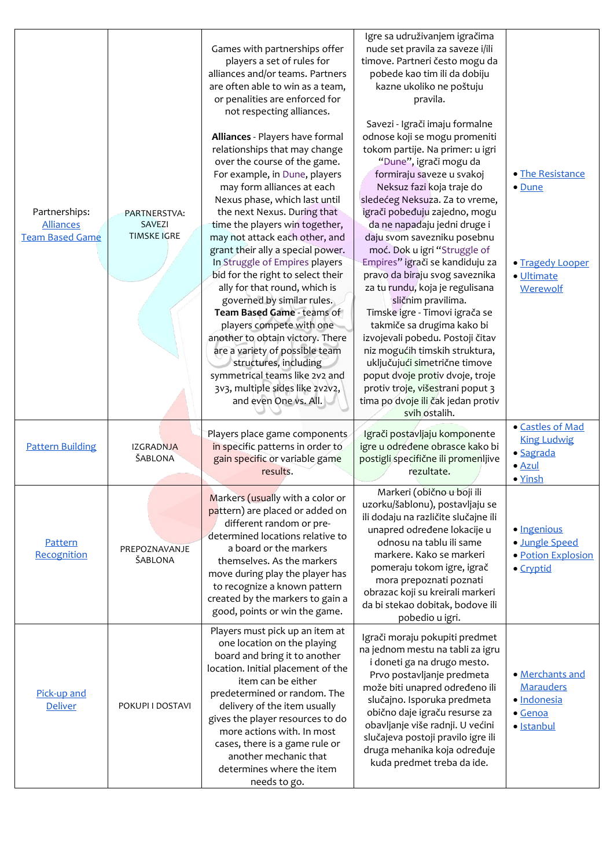| Partnerships:<br><b>Alliances</b><br><b>Team Based Game</b> | PARTNERSTVA:<br><b>SAVEZI</b><br><b>TIMSKE IGRE</b> | Games with partnerships offer<br>players a set of rules for<br>alliances and/or teams. Partners<br>are often able to win as a team,<br>or penalities are enforced for<br>not respecting alliances.<br>Alliances - Players have formal<br>relationships that may change<br>over the course of the game.<br>For example, in Dune, players<br>may form alliances at each<br>Nexus phase, which last until<br>the next Nexus. During that<br>time the players win together,<br>may not attack each other, and<br>grant their ally a special power.<br>In Struggle of Empires players<br>bid for the right to select their<br>ally for that round, which is<br>governed by similar rules.<br>Team Based Game - teams of<br>players compete with one<br>another to obtain victory. There<br>are a variety of possible team<br>structures, including<br>symmetrical teams like 2v2 and<br>3v3, multiple sides like 2v2v2,<br>and even One vs. All. | Igre sa udruživanjem igračima<br>nude set pravila za saveze i/ili<br>timove. Partneri često mogu da<br>pobede kao tim ili da dobiju<br>kazne ukoliko ne poštuju<br>pravila.<br>Savezi - Igrači imaju formalne<br>odnose koji se mogu promeniti<br>tokom partije. Na primer: u igri<br>"Dune", igrači mogu da<br>formiraju saveze u svakoj<br>Neksuz fazi koja traje do<br>sledećeg Neksuza. Za to vreme,<br>igrači pobeđuju zajedno, mogu<br>da ne napadaju jedni druge i<br>daju svom savezniku posebnu<br>moć. Dok u igri "Struggle of<br>Empires" igrači se kandiduju za<br>pravo da biraju svog saveznika<br>za tu rundu, koja je regulisana<br>sličnim pravilima.<br>Timske igre - Timovi igrača se<br>takmiče sa drugima kako bi<br>izvojevali pobedu. Postoji čitav<br>niz mogućih timskih struktura,<br>uključujući simetrične timove<br>poput dvoje protiv dvoje, troje<br>protiv troje, višestrani poput 3<br>tima po dvoje ili čak jedan protiv<br>svih ostalih. | • The Resistance<br>• Dune<br>· Tragedy Looper<br>· Ultimate<br>Werewolf         |
|-------------------------------------------------------------|-----------------------------------------------------|---------------------------------------------------------------------------------------------------------------------------------------------------------------------------------------------------------------------------------------------------------------------------------------------------------------------------------------------------------------------------------------------------------------------------------------------------------------------------------------------------------------------------------------------------------------------------------------------------------------------------------------------------------------------------------------------------------------------------------------------------------------------------------------------------------------------------------------------------------------------------------------------------------------------------------------------|-----------------------------------------------------------------------------------------------------------------------------------------------------------------------------------------------------------------------------------------------------------------------------------------------------------------------------------------------------------------------------------------------------------------------------------------------------------------------------------------------------------------------------------------------------------------------------------------------------------------------------------------------------------------------------------------------------------------------------------------------------------------------------------------------------------------------------------------------------------------------------------------------------------------------------------------------------------------------------|----------------------------------------------------------------------------------|
| <b>Pattern Building</b>                                     | <b>IZGRADNJA</b><br>ŠABLONA                         | Players place game components<br>in specific patterns in order to<br>gain specific or variable game<br>results.                                                                                                                                                                                                                                                                                                                                                                                                                                                                                                                                                                                                                                                                                                                                                                                                                             | Igrači postavljaju komponente<br>igre u određene obrasce kako bi<br>postigli specifične ili promenljive<br>rezultate.                                                                                                                                                                                                                                                                                                                                                                                                                                                                                                                                                                                                                                                                                                                                                                                                                                                       | · Castles of Mad<br><b>King Ludwig</b><br>· Sagrada<br>$\bullet$ Azul<br>• Yinsh |
| Pattern<br>Recognition                                      | PREPOZNAVANJE<br>ŠABLONA                            | Markers (usually with a color or<br>pattern) are placed or added on<br>different random or pre-<br>determined locations relative to<br>a board or the markers<br>themselves. As the markers<br>move during play the player has<br>to recognize a known pattern<br>created by the markers to gain a<br>good, points or win the game.                                                                                                                                                                                                                                                                                                                                                                                                                                                                                                                                                                                                         | Markeri (obično u boji ili<br>uzorku/šablonu), postavljaju se<br>ili dodaju na različite slučajne ili<br>unapred određene lokacije u<br>odnosu na tablu ili same<br>markere. Kako se markeri<br>pomeraju tokom igre, igrač<br>mora prepoznati poznati<br>obrazac koji su kreirali markeri<br>da bi stekao dobitak, bodove ili<br>pobedio u igri.                                                                                                                                                                                                                                                                                                                                                                                                                                                                                                                                                                                                                            | · Ingenious<br>· Jungle Speed<br>· Potion Explosion<br>• Cryptid                 |
| Pick-up and<br>Deliver                                      | POKUPI I DOSTAVI                                    | Players must pick up an item at<br>one location on the playing<br>board and bring it to another<br>location. Initial placement of the<br>item can be either<br>predetermined or random. The<br>delivery of the item usually<br>gives the player resources to do<br>more actions with. In most<br>cases, there is a game rule or<br>another mechanic that<br>determines where the item<br>needs to go.                                                                                                                                                                                                                                                                                                                                                                                                                                                                                                                                       | Igrači moraju pokupiti predmet<br>na jednom mestu na tabli za igru<br>i doneti ga na drugo mesto.<br>Prvo postavljanje predmeta<br>može biti unapred određeno ili<br>slučajno. Isporuka predmeta<br>obično daje igraču resurse za<br>obavljanje više radnji. U većini<br>slučajeva postoji pravilo igre ili<br>druga mehanika koja određuje<br>kuda predmet treba da ide.                                                                                                                                                                                                                                                                                                                                                                                                                                                                                                                                                                                                   | • Merchants and<br><b>Marauders</b><br>· Indonesia<br>· Genoa<br>· Istanbul      |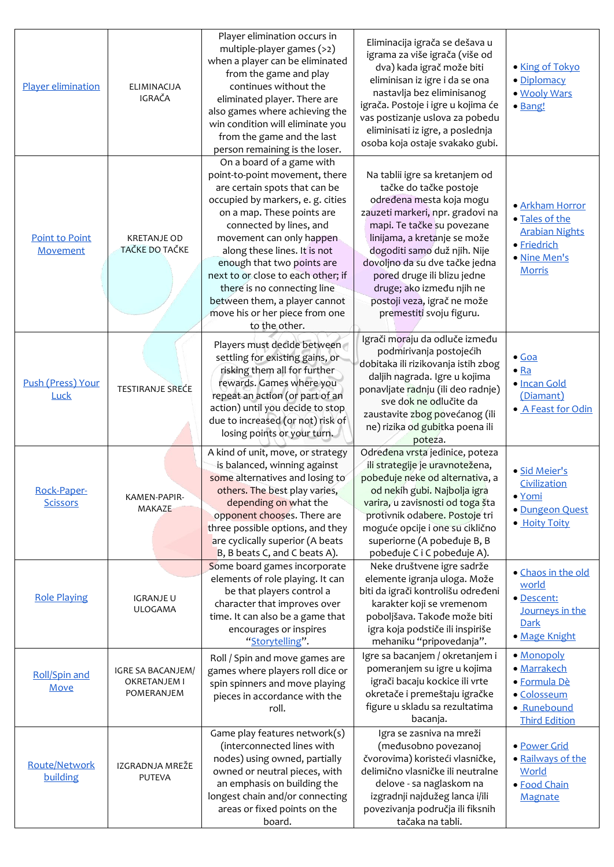| Player elimination             | <b>ELIMINACIJA</b><br>IGRAČA                    | Player elimination occurs in<br>multiple-player games (>2)<br>when a player can be eliminated<br>from the game and play<br>continues without the<br>eliminated player. There are<br>also games where achieving the<br>win condition will eliminate you<br>from the game and the last<br>person remaining is the loser.                                                                                                                        | Eliminacija igrača se dešava u<br>igrama za više igrača (više od<br>dva) kada igrač može biti<br>eliminisan iz igre i da se ona<br>nastavlja bez eliminisanog<br>igrača. Postoje i igre u kojima će<br>vas postizanje uslova za pobedu<br>eliminisati iz igre, a poslednja<br>osoba koja ostaje svakako gubi.                                                                   | • King of Tokyo<br>· Diplomacy<br>· Wooly Wars<br>· Bang!                                                  |
|--------------------------------|-------------------------------------------------|-----------------------------------------------------------------------------------------------------------------------------------------------------------------------------------------------------------------------------------------------------------------------------------------------------------------------------------------------------------------------------------------------------------------------------------------------|---------------------------------------------------------------------------------------------------------------------------------------------------------------------------------------------------------------------------------------------------------------------------------------------------------------------------------------------------------------------------------|------------------------------------------------------------------------------------------------------------|
| Point to Point<br>Movement     | <b>KRETANJE OD</b><br>TAČKE DO TAČKE            | On a board of a game with<br>point-to-point movement, there<br>are certain spots that can be<br>occupied by markers, e. g. cities<br>on a map. These points are<br>connected by lines, and<br>movement can only happen<br>along these lines. It is not<br>enough that two points are<br>next to or close to each other; if<br>there is no connecting line<br>between them, a player cannot<br>move his or her piece from one<br>to the other. | Na tablii igre sa kretanjem od<br>tačke do tačke postoje<br>određena mesta koja mogu<br>zauzeti markeri, npr. gradovi na<br>mapi. Te tačke su povezane<br>linijama, a kretanje se može<br>dogoditi samo duž njih. Nije<br>dovoljno da su dve tačke jedna<br>pored druge ili blizu jedne<br>druge; ako između njih ne<br>postoji veza, igrač ne može<br>premestiti svoju figuru. | · Arkham Horror<br>· Tales of the<br><b>Arabian Nights</b><br>· Friedrich<br>· Nine Men's<br><b>Morris</b> |
| Push (Press) Your<br>Luck      | <b>TESTIRANJE SREĆE</b>                         | Players must decide between<br>settling for existing gains, or<br>risking them all for further<br>rewards. Games where you<br>repeat an action (or part of an<br>action) until you decide to stop<br>due to increased (or not) risk of<br>losing points or your turn.                                                                                                                                                                         | Igrači moraju da odluče između<br>podmirivanja postojećih<br>dobitaka ili rizikovanja istih zbog<br>daljih nagrada. Igre u kojima<br>ponavljate radnju (ili deo radnje)<br>sve dok ne odlučite da<br>zaustavite zbog povećanog (ili<br>ne) rizika od gubitka poena ili<br>poteza.                                                                                               | $\bullet$ Goa<br>$\bullet$ Ra<br>· Incan Gold<br>(Diamant)<br>• A Feast for Odin                           |
| Rock-Paper-<br><b>Scissors</b> | KAMEN-PAPIR-<br>MAKAZE                          | A kind of unit, move, or strategy<br>is balanced, winning against<br>some alternatives and losing to<br>others. The best play varies,<br>depending on what the<br>opponent chooses. There are<br>three possible options, and they<br>are cyclically superior (A beats<br>B, B beats C, and C beats A).                                                                                                                                        | Određena vrsta jedinice, poteza<br>ili strategije je uravnotežena,<br>pobeđuje neke od alternativa, a<br>od nekih gubi. Najbolja igra<br>varira, u zavisnosti od toga šta<br>protivnik odabere. Postoje tri<br>moguće opcije i one su ciklično<br>superiorne (A pobeđuje B, B<br>pobeđuje C i C pobeđuje A).                                                                    | · Sid Meier's<br>Civilization<br>• Yomi<br>· Dungeon Quest<br>· Hoity Toity                                |
| <b>Role Playing</b>            | <b>IGRANJE U</b><br><b>ULOGAMA</b>              | Some board games incorporate<br>elements of role playing. It can<br>be that players control a<br>character that improves over<br>time. It can also be a game that<br>encourages or inspires<br>"Storytelling".                                                                                                                                                                                                                                | Neke društvene igre sadrže<br>elemente igranja uloga. Može<br>biti da igrači kontrolišu određeni<br>karakter koji se vremenom<br>poboljšava. Takođe može biti<br>igra koja podstiče ili inspiriše<br>mehaniku "pripovedanja".                                                                                                                                                   | • Chaos in the old<br>world<br>· Descent:<br>Journeys in the<br>Dark<br>· Mage Knight                      |
| <b>Roll/Spin and</b><br>Move   | IGRE SA BACANJEM/<br>OKRETANJEM I<br>POMERANJEM | Roll / Spin and move games are<br>games where players roll dice or<br>spin spinners and move playing<br>pieces in accordance with the<br>roll.                                                                                                                                                                                                                                                                                                | Igre sa bacanjem / okretanjem i<br>pomeranjem su igre u kojima<br>igrači bacaju kockice ili vrte<br>okretače i premeštaju igračke<br>figure u skladu sa rezultatima<br>bacanja.                                                                                                                                                                                                 | • Monopoly<br>· Marrakech<br>· Formula Dè<br>· Colosseum<br>· Runebound<br><b>Third Edition</b>            |
| Route/Network<br>building      | IZGRADNJA MREŽE<br><b>PUTEVA</b>                | Game play features network(s)<br>(interconnected lines with<br>nodes) using owned, partially<br>owned or neutral pieces, with<br>an emphasis on building the<br>longest chain and/or connecting<br>areas or fixed points on the<br>board.                                                                                                                                                                                                     | Igra se zasniva na mreži<br>(međusobno povezanoj<br>čvorovima) koristeći vlasničke,<br>delimično vlasničke ili neutralne<br>delove - sa naglaskom na<br>izgradnji najdužeg lanca i/ili<br>povezivanja područja ili fiksnih<br>tačaka na tabli.                                                                                                                                  | · Power Grid<br>· Railways of the<br>World<br>· Food Chain<br>Magnate                                      |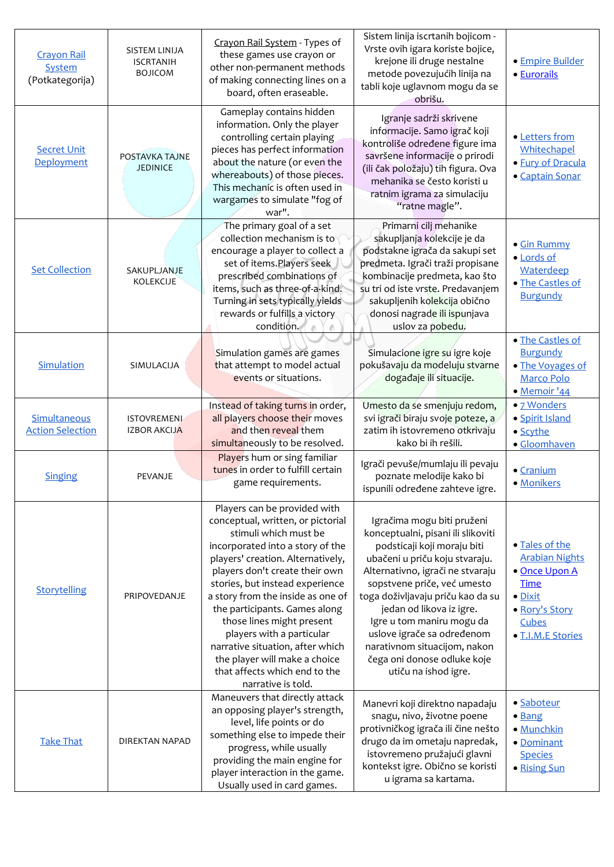| <b>Crayon Rail</b><br>System<br>(Potkategorija) | <b>SISTEM LINIJA</b><br><b>ISCRTANIH</b><br><b>BOJICOM</b> | Crayon Rail System - Types of<br>these games use crayon or<br>other non-permanent methods<br>of making connecting lines on a<br>board, often eraseable.                                                                                                                                                                                                                                                                                                                                              | Sistem linija iscrtanih bojicom -<br>Vrste ovih igara koriste bojice,<br>krejone ili druge nestalne<br>metode povezujućih linija na<br>tabli koje uglavnom mogu da se<br>obrišu.                                                                                                                                                                                                                                        | · Empire Builder<br>· Eurorails                                                                                                    |
|-------------------------------------------------|------------------------------------------------------------|------------------------------------------------------------------------------------------------------------------------------------------------------------------------------------------------------------------------------------------------------------------------------------------------------------------------------------------------------------------------------------------------------------------------------------------------------------------------------------------------------|-------------------------------------------------------------------------------------------------------------------------------------------------------------------------------------------------------------------------------------------------------------------------------------------------------------------------------------------------------------------------------------------------------------------------|------------------------------------------------------------------------------------------------------------------------------------|
| <b>Secret Unit</b><br>Deployment                | POSTAVKA TAJNE<br><b>JEDINICE</b>                          | Gameplay contains hidden<br>information. Only the player<br>controlling certain playing<br>pieces has perfect information<br>about the nature (or even the<br>whereabouts) of those pieces.<br>This mechanic is often used in<br>wargames to simulate "fog of<br>war".                                                                                                                                                                                                                               | Igranje sadrži skrivene<br>informacije. Samo igrač koji<br>kontroliše određene figure ima<br>savršene informacije o prirodi<br>(ili čak položaju) tih figura. Ova<br>mehanika se često koristi u<br>ratnim igrama za simulaciju<br>"ratne magle".                                                                                                                                                                       | • Letters from<br>Whitechapel<br>· Fury of Dracula<br>· Captain Sonar                                                              |
| <b>Set Collection</b>                           | SAKUPLJANJE<br><b>KOLEKCIJE</b>                            | The primary goal of a set<br>collection mechanism is to<br>encourage a player to collect a<br>set of items. Players seek<br>prescribed combinations of<br>items, such as three-of-a-kind.<br>Turning in sets typically yields<br>rewards or fulfills a victory<br>condition.                                                                                                                                                                                                                         | Primarni cilj mehanike<br>sakupljanja kolekcije je da<br>podstakne igrača da sakupi set<br>predmeta. Igrači traži propisane<br>kombinacije predmeta, kao što<br>su tri od iste vrste. Predavanjem<br>sakupljenih kolekcija obično<br>donosi nagrade ili ispunjava<br>uslov za pobedu.                                                                                                                                   | • Gin Rummy<br>· Lords of<br>Waterdeep<br>· The Castles of<br><b>Burgundy</b>                                                      |
| Simulation                                      | SIMULACIJA                                                 | Simulation games are games<br>that attempt to model actual<br>events or situations.                                                                                                                                                                                                                                                                                                                                                                                                                  | Simulacione igre su igre koje<br>pokušavaju da modeluju stvarne<br>događaje ili situacije.                                                                                                                                                                                                                                                                                                                              | • The Castles of<br><b>Burgundy</b><br>· The Voyages of<br>Marco Polo<br>· Memoir '44                                              |
| Simultaneous<br><b>Action Selection</b>         | <b>ISTOVREMENI</b><br><b>IZBOR AKCIJA</b>                  | Instead of taking turns in order,<br>all players choose their moves<br>and then reveal them<br>simultaneously to be resolved.                                                                                                                                                                                                                                                                                                                                                                        | Umesto da se smenjuju redom,<br>svi igrači biraju svoje poteze, a<br>zatim ih istovremeno otkrivaju<br>kako bi ih rešili.                                                                                                                                                                                                                                                                                               | • 7 Wonders<br>· Spirit Island<br>• Scythe<br>· Gloomhaven                                                                         |
| <b>Singing</b>                                  | PEVANJE                                                    | Players hum or sing familiar<br>tunes in order to fulfill certain<br>game requirements.                                                                                                                                                                                                                                                                                                                                                                                                              | Igrači pevuše/mumlaju ili pevaju<br>poznate melodije kako bi<br>ispunili određene zahteve igre.                                                                                                                                                                                                                                                                                                                         | · Cranium<br>· Monikers                                                                                                            |
| Storytelling                                    | PRIPOVEDANJE                                               | Players can be provided with<br>conceptual, written, or pictorial<br>stimuli which must be<br>incorporated into a story of the<br>players' creation. Alternatively,<br>players don't create their own<br>stories, but instead experience<br>a story from the inside as one of<br>the participants. Games along<br>those lines might present<br>players with a particular<br>narrative situation, after which<br>the player will make a choice<br>that affects which end to the<br>narrative is told. | Igračima mogu biti pruženi<br>konceptualni, pisani ili slikoviti<br>podsticaji koji moraju biti<br>ubačeni u priču koju stvaraju.<br>Alternativno, igrači ne stvaraju<br>sopstvene priče, već umesto<br>toga doživljavaju priču kao da su<br>jedan od likova iz igre.<br>Igre u tom maniru mogu da<br>uslove igrače sa određenom<br>narativnom situacijom, nakon<br>čega oni donose odluke koje<br>utiču na ishod igre. | · Tales of the<br><b>Arabian Nights</b><br>• Once Upon A<br><b>Time</b><br>· Dixit<br>· Rory's Story<br>Cubes<br>· T.I.M.E Stories |
| <b>Take That</b>                                | DIREKTAN NAPAD                                             | Maneuvers that directly attack<br>an opposing player's strength,<br>level, life points or do<br>something else to impede their<br>progress, while usually<br>providing the main engine for<br>player interaction in the game.<br>Usually used in card games.                                                                                                                                                                                                                                         | Manevri koji direktno napadaju<br>snagu, nivo, životne poene<br>protivničkog igrača ili čine nešto<br>drugo da im ometaju napredak,<br>istovremeno pružajući glavni<br>kontekst igre. Obično se koristi<br>u igrama sa kartama.                                                                                                                                                                                         | · Saboteur<br>• Bang<br>· Munchkin<br>· Dominant<br><b>Species</b><br>· Rising Sun                                                 |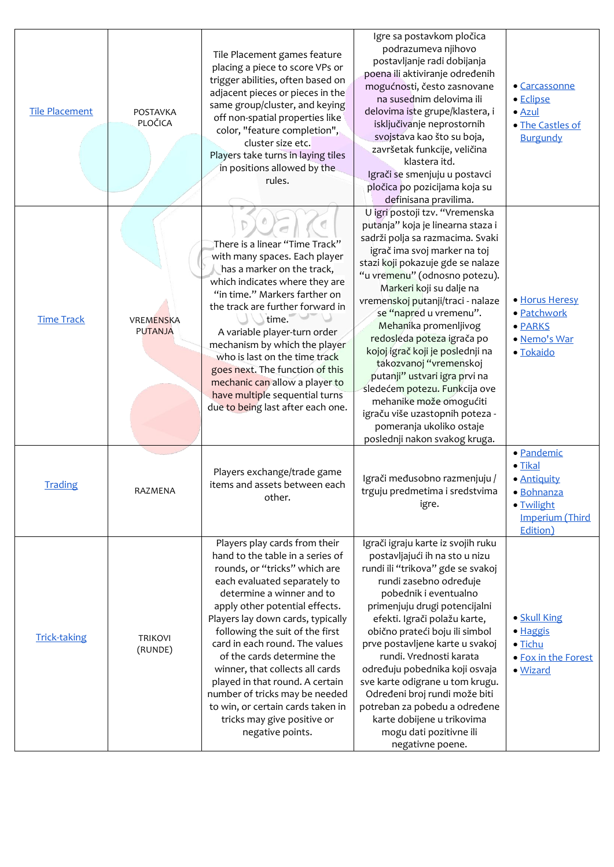| <b>Tile Placement</b> | POSTAVKA<br>PLOČICA                | Tile Placement games feature<br>placing a piece to score VPs or<br>trigger abilities, often based on<br>adjacent pieces or pieces in the<br>same group/cluster, and keying<br>off non-spatial properties like<br>color, "feature completion",<br>cluster size etc.<br>Players take turns in laying tiles<br>in positions allowed by the<br>rules.                                                                                                                                                                                         | Igre sa postavkom pločica<br>podrazumeva njihovo<br>postavljanje radi dobijanja<br>poena ili aktiviranje određenih<br>mogućnosti, često zasnovane<br>na susednim delovima ili<br>delovima iste grupe/klastera, i<br>isključivanje neprostornih<br>svojstava kao što su boja,<br>završetak funkcije, veličina<br>klastera itd.<br>Igrači se smenjuju u postavci<br>pločica po pozicijama koja su<br>definisana pravilima.                                                                                                                                                                                                   | • Carcassonne<br>· Eclipse<br>$\bullet$ Azul<br>· The Castles of<br><b>Burgundy</b>                            |
|-----------------------|------------------------------------|-------------------------------------------------------------------------------------------------------------------------------------------------------------------------------------------------------------------------------------------------------------------------------------------------------------------------------------------------------------------------------------------------------------------------------------------------------------------------------------------------------------------------------------------|----------------------------------------------------------------------------------------------------------------------------------------------------------------------------------------------------------------------------------------------------------------------------------------------------------------------------------------------------------------------------------------------------------------------------------------------------------------------------------------------------------------------------------------------------------------------------------------------------------------------------|----------------------------------------------------------------------------------------------------------------|
| <b>Time Track</b>     | <b>VREMENSKA</b><br><b>PUTANJA</b> | There is a linear "Time Track"<br>with many spaces. Each player<br>has a marker on the track,<br>which indicates where they are<br>"in time." Markers farther on<br>the track are further forward in<br>time.<br>A variable player-turn order<br>mechanism by which the player<br>who is last on the time track<br>goes next. The function of this<br>mechanic can allow a player to<br>have multiple sequential turns<br>due to being last after each one.                                                                               | U igri postoji tzv. "Vremenska<br>putanja" koja je linearna staza i<br>sadrži polja sa razmacima. Svaki<br>igrač ima svoj marker na toj<br>stazi koji pokazuje gde se nalaze<br>"u vremenu" (odnosno potezu).<br>Markeri koji su dalje na<br>vremenskoj putanji/traci - nalaze<br>se "napred u vremenu".<br>Mehanika promenljivog<br>redosleda poteza igrača po<br>kojoj igrač koji je poslednji na<br>takozvanoj "vremenskoj<br>putanji" ustvari igra prvi na<br>sledećem potezu. Funkcija ove<br>mehanike može omogućiti<br>igraču više uzastopnih poteza -<br>pomeranja ukoliko ostaje<br>poslednji nakon svakog kruga. | · Horus Heresy<br>· Patchwork<br>· PARKS<br>· Nemo's War<br>· Tokaido                                          |
| <b>Trading</b>        | RAZMENA                            | Players exchange/trade game<br>items and assets between each<br>other.                                                                                                                                                                                                                                                                                                                                                                                                                                                                    | Igrači međusobno razmenjuju /<br>trguju predmetima i sredstvima<br>igre.                                                                                                                                                                                                                                                                                                                                                                                                                                                                                                                                                   | · Pandemic<br>$\bullet$ Tikal<br>· Antiquity<br>• Bohnanza<br>· Twilight<br><b>Imperium (Third</b><br>Edition) |
| <b>Trick-taking</b>   | <b>TRIKOVI</b><br>(RUNDE)          | Players play cards from their<br>hand to the table in a series of<br>rounds, or "tricks" which are<br>each evaluated separately to<br>determine a winner and to<br>apply other potential effects.<br>Players lay down cards, typically<br>following the suit of the first<br>card in each round. The values<br>of the cards determine the<br>winner, that collects all cards<br>played in that round. A certain<br>number of tricks may be needed<br>to win, or certain cards taken in<br>tricks may give positive or<br>negative points. | Igrači igraju karte iz svojih ruku<br>postavljajući ih na sto u nizu<br>rundi ili "trikova" gde se svakoj<br>rundi zasebno određuje<br>pobednik i eventualno<br>primenjuju drugi potencijalni<br>efekti. Igrači polažu karte,<br>obično prateći boju ili simbol<br>prve postavljene karte u svakoj<br>rundi. Vrednosti karata<br>određuju pobednika koji osvaja<br>sve karte odigrane u tom krugu.<br>Određeni broj rundi može biti<br>potreban za pobedu a određene<br>karte dobijene u trikovima<br>mogu dati pozitivne ili<br>negativne poene.                                                                          | • Skull King<br>· Haggis<br>· Tichu<br>• Fox in the Forest<br>· Wizard                                         |